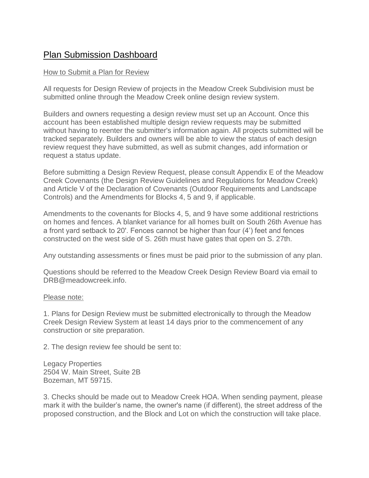## Plan Submission Dashboard

## How to Submit a Plan for Review

All requests for Design Review of projects in the Meadow Creek Subdivision must be submitted online through the Meadow Creek online design review system.

Builders and owners requesting a design review must set up an Account. Once this account has been established multiple design review requests may be submitted without having to reenter the submitter's information again. All projects submitted will be tracked separately. Builders and owners will be able to view the status of each design review request they have submitted, as well as submit changes, add information or request a status update.

Before submitting a Design Review Request, please consult Appendix E of the Meadow Creek Covenants (the Design Review Guidelines and Regulations for Meadow Creek) and Article V of the Declaration of Covenants (Outdoor Requirements and Landscape Controls) and the Amendments for Blocks 4, 5 and 9, if applicable.

Amendments to the covenants for Blocks 4, 5, and 9 have some additional restrictions on homes and fences. A blanket variance for all homes built on South 26th Avenue has a front yard setback to 20'. Fences cannot be higher than four (4') feet and fences constructed on the west side of S. 26th must have gates that open on S. 27th.

Any outstanding assessments or fines must be paid prior to the submission of any plan.

Questions should be referred to the Meadow Creek Design Review Board via email to DRB@meadowcreek.info.

## Please note:

1. Plans for Design Review must be submitted electronically to through the Meadow Creek Design Review System at least 14 days prior to the commencement of any construction or site preparation.

2. The design review fee should be sent to:

Legacy Properties 2504 W. Main Street, Suite 2B Bozeman, MT 59715.

3. Checks should be made out to Meadow Creek HOA. When sending payment, please mark it with the builder's name, the owner's name (if different), the street address of the proposed construction, and the Block and Lot on which the construction will take place.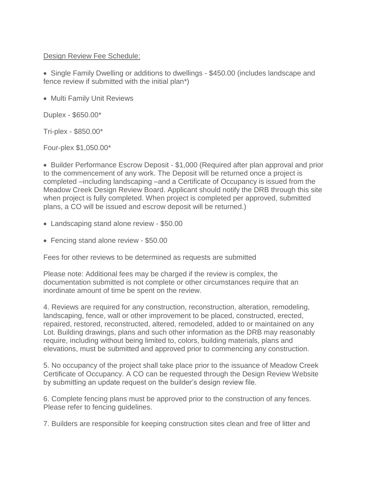## Design Review Fee Schedule:

• Single Family Dwelling or additions to dwellings - \$450.00 (includes landscape and fence review if submitted with the initial plan\*)

• Multi Family Unit Reviews

Duplex - \$650.00\*

Tri-plex - \$850.00\*

Four-plex \$1,050.00\*

• Builder Performance Escrow Deposit - \$1,000 (Required after plan approval and prior to the commencement of any work. The Deposit will be returned once a project is completed –including landscaping –and a Certificate of Occupancy is issued from the Meadow Creek Design Review Board. Applicant should notify the DRB through this site when project is fully completed. When project is completed per approved, submitted plans, a CO will be issued and escrow deposit will be returned.)

- Landscaping stand alone review \$50.00
- Fencing stand alone review \$50.00

Fees for other reviews to be determined as requests are submitted

Please note: Additional fees may be charged if the review is complex, the documentation submitted is not complete or other circumstances require that an inordinate amount of time be spent on the review.

4. Reviews are required for any construction, reconstruction, alteration, remodeling, landscaping, fence, wall or other improvement to be placed, constructed, erected, repaired, restored, reconstructed, altered, remodeled, added to or maintained on any Lot. Building drawings, plans and such other information as the DRB may reasonably require, including without being limited to, colors, building materials, plans and elevations, must be submitted and approved prior to commencing any construction.

5. No occupancy of the project shall take place prior to the issuance of Meadow Creek Certificate of Occupancy. A CO can be requested through the Design Review Website by submitting an update request on the builder's design review file.

6. Complete fencing plans must be approved prior to the construction of any fences. Please refer to fencing guidelines.

7. Builders are responsible for keeping construction sites clean and free of litter and